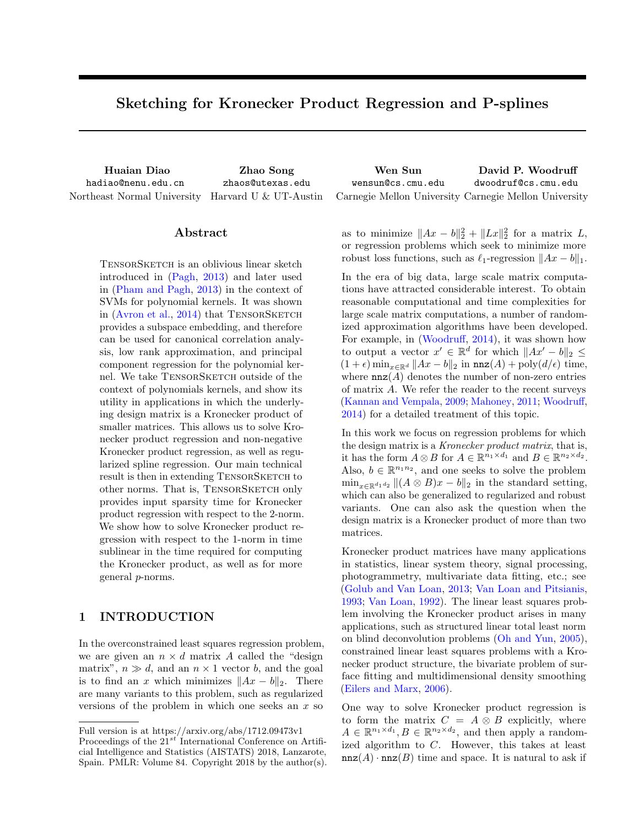# <span id="page-0-0"></span>Sketching for Kronecker Product Regression and P-splines

Huaian Diao hadiao@nenu.edu.cn Zhao Song zhaos@utexas.edu

Wen Sun wensun@cs.cmu.edu David P. Woodruff dwoodruf@cs.cmu.edu Northeast Normal University Harvard U & UT-Austin Carnegie Mellon University Carnegie Mellon University

## Abstract

TensorSketch is an oblivious linear sketch introduced in [\(Pagh,](#page-8-0) [2013\)](#page-8-0) and later used in [\(Pham and Pagh,](#page-8-1) [2013\)](#page-8-1) in the context of SVMs for polynomial kernels. It was shown in [\(Avron et al.,](#page-8-2)  $2014$ ) that TENSORSKETCH provides a subspace embedding, and therefore can be used for canonical correlation analysis, low rank approximation, and principal component regression for the polynomial kernel. We take TENSORSKETCH outside of the context of polynomials kernels, and show its utility in applications in which the underlying design matrix is a Kronecker product of smaller matrices. This allows us to solve Kronecker product regression and non-negative Kronecker product regression, as well as regularized spline regression. Our main technical result is then in extending TENSORSKETCH to other norms. That is, TENSORSKETCH only provides input sparsity time for Kronecker product regression with respect to the 2-norm. We show how to solve Kronecker product regression with respect to the 1-norm in time sublinear in the time required for computing the Kronecker product, as well as for more general *p*-norms.

# <span id="page-0-1"></span>1 INTRODUCTION

In the overconstrained least squares regression problem, we are given an  $n \times d$  matrix *A* called the "design" matrix",  $n \gg d$ , and an  $n \times 1$  vector *b*, and the goal is to find an *x* which minimizes  $||Ax - b||_2$ . There are many variants to this problem, such as regularized versions of the problem in which one seeks an *x* so

as to minimize  $||Ax - b||_2^2 + ||Lx||_2^2$  for a matrix *L*, or regression problems which seek to minimize more robust loss functions, such as  $\ell_1$ -regression  $||Ax - b||_1$ .

In the era of big data, large scale matrix computations have attracted considerable interest. To obtain reasonable computational and time complexities for large scale matrix computations, a number of randomized approximation algorithms have been developed. For example, in  $(Woodruff, 2014)$  $(Woodruff, 2014)$  $(Woodruff, 2014)$ , it was shown how to output a vector  $x' \in \mathbb{R}^d$  for which  $||Ax'-b||_2 \le$  $(1 + \epsilon) \min_{x \in \mathbb{R}^d} \|Ax - b\|_2$  in  $\max(A) + \text{poly}(d/\epsilon)$  time, where  $nnz(A)$  denotes the number of non-zero entries of matrix *A*. We refer the reader to the recent surveys [\(Kannan and Vempala,](#page-8-3) [2009;](#page-8-3) [Mahoney,](#page-8-4) [2011;](#page-8-4) [Woodru](#page-9-0)ff, [2014\)](#page-9-0) for a detailed treatment of this topic.

In this work we focus on regression problems for which the design matrix is a *Kronecker product matrix*, that is, it has the form  $A \otimes B$  for  $A \in \mathbb{R}^{n_1 \times d_1}$  and  $B \in \mathbb{R}^{n_2 \times d_2}$ . Also,  $b \in \mathbb{R}^{n_1 n_2}$ , and one seeks to solve the problem  $\min_{x \in \mathbb{R}^{d_1 d_2}} || (A \otimes B)x - b||_2$  in the standard setting, which can also be generalized to regularized and robust variants. One can also ask the question when the design matrix is a Kronecker product of more than two matrices.

Kronecker product matrices have many applications in statistics, linear system theory, signal processing, photogrammetry, multivariate data fitting, etc.; see [\(Golub and Van Loan,](#page-8-5) [2013;](#page-8-5) [Van Loan and Pitsianis,](#page-9-1) [1993;](#page-9-1) [Van Loan,](#page-9-2) [1992\)](#page-9-2). The linear least squares problem involving the Kronecker product arises in many applications, such as structured linear total least norm on blind deconvolution problems [\(Oh and Yun,](#page-8-6) [2005\)](#page-8-6), constrained linear least squares problems with a Kronecker product structure, the bivariate problem of surface fitting and multidimensional density smoothing [\(Eilers and Marx,](#page-8-7) [2006\)](#page-8-7).

One way to solve Kronecker product regression is to form the matrix  $C = A \otimes B$  explicitly, where  $A \in \mathbb{R}^{n_1 \times d_1}, B \in \mathbb{R}^{n_2 \times d_2}$ , and then apply a randomized algorithm to *C*. However, this takes at least  $nnz(A) \cdot nnz(B)$  time and space. It is natural to ask if

Full version is at https://arxiv.org/abs/1712.09473v1

Proceedings of the  $21^{st}$  International Conference on Artificial Intelligence and Statistics (AISTATS) 2018, Lanzarote, Spain. PMLR: Volume 84. Copyright 2018 by the author(s).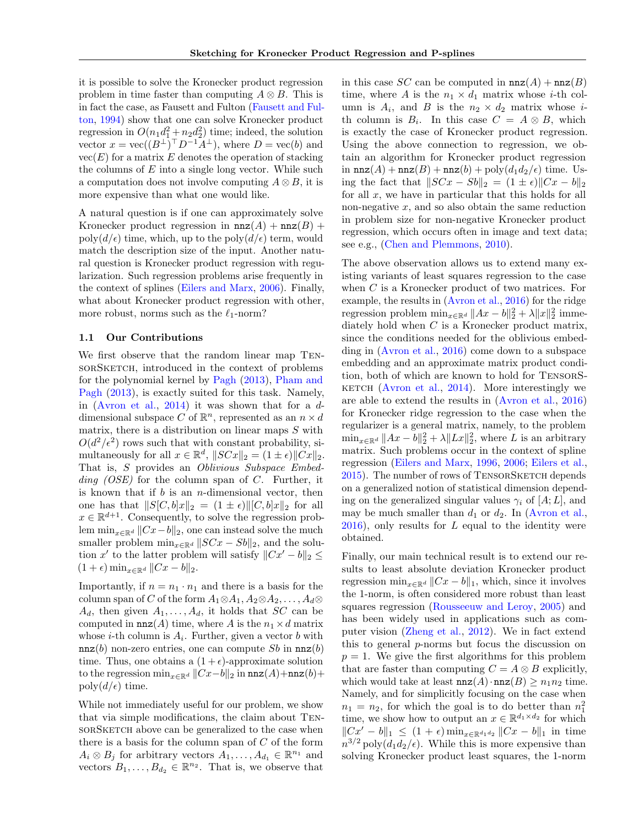it is possible to solve the Kronecker product regression problem in time faster than computing  $A \otimes B$ . This is in fact the case, as Fausett and Fulton [\(Fausett and Ful](#page-8-8)[ton,](#page-8-8) [1994\)](#page-8-8) show that one can solve Kronecker product regression in  $O(n_1d_1^2 + n_2d_2^2)$  time; indeed, the solution vector  $x = \text{vec}((B^{\perp})^{\top}D^{-1}\overline{A}^{\perp})$ , where  $D = \text{vec}(b)$  and  $vec(E)$  for a matrix  $E$  denotes the operation of stacking the columns of *E* into a single long vector. While such a computation does not involve computing  $A \otimes B$ , it is more expensive than what one would like.

A natural question is if one can approximately solve Kronecker product regression in  $nnz(A) + nnz(B)$  + poly $(d/\epsilon)$  time, which, up to the poly $(d/\epsilon)$  term, would match the description size of the input. Another natural question is Kronecker product regression with regularization. Such regression problems arise frequently in the context of splines [\(Eilers and Marx,](#page-8-7) [2006\)](#page-8-7). Finally, what about Kronecker product regression with other, more robust, norms such as the  $\ell_1\text{-norm?}$ 

## 1.1 Our Contributions

We first observe that the random linear map TensorSketch, introduced in the context of problems for the polynomial kernel by [Pagh](#page-8-0) [\(2013\)](#page-8-0), [Pham and](#page-8-1) [Pagh](#page-8-1) [\(2013\)](#page-8-1), is exactly suited for this task. Namely, in [\(Avron et al.,](#page-8-2) [2014\)](#page-8-2) it was shown that for a *d*dimensional subspace *C* of  $\mathbb{R}^n$ , represented as an  $n \times d$ matrix, there is a distribution on linear maps *S* with  $O(d^2/\epsilon^2)$  rows such that with constant probability, simultaneously for all  $x \in \mathbb{R}^d$ ,  $||SCx||_2 = (1 \pm \epsilon) ||Cx||_2$ . That is, *S* provides an *Oblivious Subspace Embedding (OSE)* for the column span of *C*. Further, it is known that if *b* is an *n*-dimensional vector, then one has that  $||S[C, b]x||_2 = (1 \pm \epsilon) ||[C, b]x||_2$  for all  $x \in \mathbb{R}^{d+1}$ . Consequently, to solve the regression problem  $\min_{x \in \mathbb{R}^d} ||Cx - b||_2$ , one can instead solve the much smaller problem  $\min_{x \in \mathbb{R}^d} \| SCx - Sb \|_2$ , and the solution x' to the latter problem will satisfy  $||Cx'-b||_2 \le$  $(1 + \epsilon) \min_{x \in \mathbb{R}^d} ||Cx - b||_2.$ 

Importantly, if  $n = n_1 \cdot n_1$  and there is a basis for the column span of *C* of the form  $A_1 \otimes A_1, A_2 \otimes A_2, \ldots, A_d \otimes$  $A_d$ , then given  $A_1, \ldots, A_d$ , it holds that *SC* can be computed in  $nnz(A)$  time, where *A* is the  $n_1 \times d$  matrix whose *i*-th column is  $A_i$ . Further, given a vector *b* with  $nnz(b)$  non-zero entries, one can compute *Sb* in  $nnz(b)$ time. Thus, one obtains a  $(1 + \epsilon)$ -approximate solution to the regression  $\min_{x \in \mathbb{R}^d} ||Cx - b||_2$  in  $\max(A) + \max(b) +$  $poly(d/\epsilon)$  time.

While not immediately useful for our problem, we show that via simple modifications, the claim about Tensor SKETCH above can be generalized to the case when there is a basis for the column span of *C* of the form  $A_i \otimes B_j$  for arbitrary vectors  $A_1, \ldots, A_{d_1} \in \mathbb{R}^{n_1}$  and vectors  $B_1, \ldots, B_{d_2} \in \mathbb{R}^{n_2}$ . That is, we observe that

in this case *SC* can be computed in  $nnz(A) + nnz(B)$ time, where *A* is the  $n_1 \times d_1$  matrix whose *i*-th column is  $A_i$ , and  $B$  is the  $n_2 \times d_2$  matrix whose *i*th column is  $B_i$ . In this case  $C = A \otimes B$ , which is exactly the case of Kronecker product regression. Using the above connection to regression, we obtain an algorithm for Kronecker product regression in  $nnz(A) + nnz(B) + nnz(b) + poly(d_1d_2/\epsilon)$  time. Using the fact that  $||SCx - Sb||_2 = (1 \pm \epsilon) ||Cx - b||_2$ for all *x*, we have in particular that this holds for all non-negative *x*, and so also obtain the same reduction in problem size for non-negative Kronecker product regression, which occurs often in image and text data; see e.g., [\(Chen and Plemmons,](#page-8-9) [2010\)](#page-8-9).

The above observation allows us to extend many existing variants of least squares regression to the case when *C* is a Kronecker product of two matrices. For example, the results in [\(Avron et al.,](#page-8-10) [2016\)](#page-8-10) for the ridge regression problem  $\min_{x \in \mathbb{R}^d} ||Ax - b||_2^2 + \lambda ||x||_2^2$  immediately hold when *C* is a Kronecker product matrix, since the conditions needed for the oblivious embedding in [\(Avron et al.,](#page-8-10) [2016\)](#page-8-10) come down to a subspace embedding and an approximate matrix product condition, both of which are known to hold for TensorS-KETCH [\(Avron et al.,](#page-8-2)  $2014$ ). More interestingly we are able to extend the results in [\(Avron et al.,](#page-8-10) [2016\)](#page-8-10) for Kronecker ridge regression to the case when the regularizer is a general matrix, namely, to the problem  $\min_{x \in \mathbb{R}^d} ||Ax - b||_2^2 + \lambda ||Lx||_2^2$ , where *L* is an arbitrary matrix. Such problems occur in the context of spline regression [\(Eilers and Marx,](#page-8-11) [1996,](#page-8-11) [2006;](#page-8-7) [Eilers et al.,](#page-8-12) [2015\)](#page-8-12). The number of rows of TENSORSKETCH depends on a generalized notion of statistical dimension depending on the generalized singular values  $\gamma_i$  of  $[A;L]$ , and may be much smaller than  $d_1$  or  $d_2$ . In [\(Avron et al.,](#page-8-10) [2016\)](#page-8-10), only results for *L* equal to the identity were obtained.

Finally, our main technical result is to extend our results to least absolute deviation Kronecker product regression  $\min_{x \in \mathbb{R}^d} ||Cx - b||_1$ , which, since it involves the 1-norm, is often considered more robust than least squares regression [\(Rousseeuw and Leroy,](#page-8-13) [2005\)](#page-8-13) and has been widely used in applications such as computer vision [\(Zheng et al.,](#page-9-3) [2012\)](#page-9-3). We in fact extend this to general *p*-norms but focus the discussion on  $p = 1$ . We give the first algorithms for this problem that are faster than computing  $C = A \otimes B$  explicitly, which would take at least  $nnz(A) \cdot nnz(B) \geq n_1 n_2$  time. Namely, and for simplicitly focusing on the case when  $n_1 = n_2$ , for which the goal is to do better than  $n_1^2$ time, we show how to output an  $x \in \mathbb{R}^{d_1 \times d_2}$  for which  $||Cx'-b||_1 \leq (1+\epsilon) \min_{x \in \mathbb{R}^{d_1 d_2}} ||Cx-b||_1$  in time  $n^{3/2}$  poly $(d_1 d_2/\epsilon)$ . While this is more expensive than solving Kronecker product least squares, the 1-norm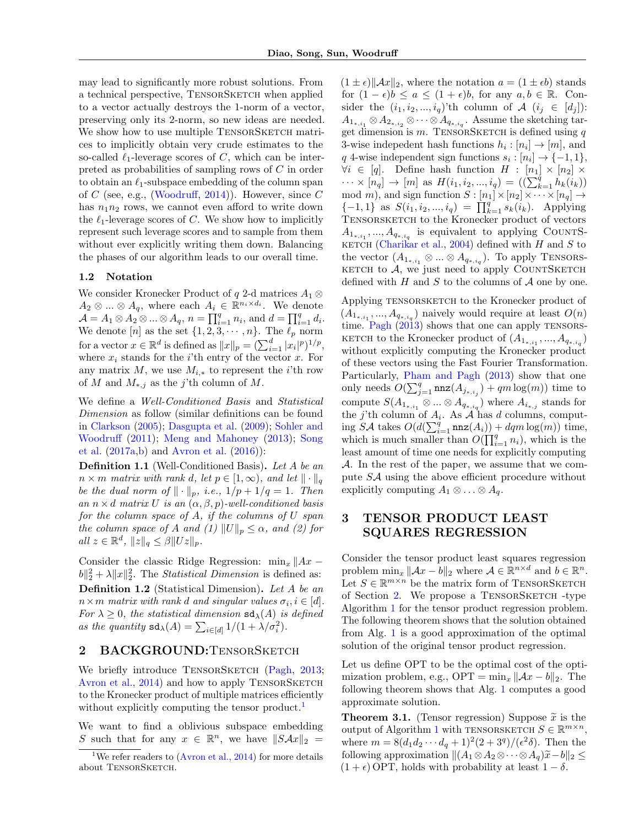may lead to significantly more robust solutions. From a technical perspective, TENSORSKETCH when applied to a vector actually destroys the 1-norm of a vector, preserving only its 2-norm, so new ideas are needed. We show how to use multiple TENSORSKETCH matrices to implicitly obtain very crude estimates to the so-called  $\ell_1$ -leverage scores of *C*, which can be interpreted as probabilities of sampling rows of *C* in order to obtain an  $\ell_1$ -subspace embedding of the column span of  $C$  (see, e.g., [\(Woodru](#page-9-0)ff, [2014\)](#page-9-0)). However, since  $C$ has  $n_1n_2$  rows, we cannot even afford to write down the  $\ell_1$ -leverage scores of *C*. We show how to implicitly represent such leverage scores and to sample from them without ever explicitly writing them down. Balancing the phases of our algorithm leads to our overall time.

#### 1.2 Notation

We consider Kronecker Product of  $q$  2-d matrices  $A_1 \otimes$  $A_2 \otimes \ldots \otimes A_q$ , where each  $A_i \in \mathbb{R}^{n_i \times d_i}$ . We denote  $\mathcal{A} = A_1 \otimes A_2 \otimes ... \otimes A_q, n = \prod_{i=1}^q n_i$ , and  $d = \prod_{i=1}^q d_i$ . We denote  $[n]$  as the set  $\{1, 2, 3, \cdots, n\}$ . The  $\ell_p$  norm for a vector  $x \in \mathbb{R}^d$  is defined as  $||x||_p = \left(\sum_{i=1}^d |x_i|^p\right)^{1/p}$ , where  $x_i$  stands for the *i*'th entry of the vector  $x$ . For any matrix  $M$ , we use  $M_{i,*}$  to represent the *i*'th row of *M* and  $M_{*,j}$  as the *j*'th column of *M*.

We define a *Well-Conditioned Basis* and *Statistical Dimension* as follow (similar definitions can be found in [Clarkson](#page-8-14) [\(2005\)](#page-8-14); [Dasgupta et al.](#page-8-15) [\(2009\)](#page-8-15); [Sohler and](#page-9-4) [Woodru](#page-9-4)ff [\(2011\)](#page-9-4); [Meng and Mahoney](#page-8-16) [\(2013\)](#page-8-16); [Song](#page-9-5) [et al.](#page-9-5) [\(2017a,](#page-9-5)[b\)](#page-9-6) and [Avron et al.](#page-8-10) [\(2016\)](#page-8-10)):

<span id="page-2-3"></span>Definition 1.1 (Well-Conditioned Basis). *Let A be an*  $n \times m$  *matrix with rank d, let*  $p \in [1, \infty)$ *, and let*  $\|\cdot\|_q$ *be the dual norm of*  $\|\cdot\|_p$ *, i.e.,*  $1/p + 1/q = 1$ *. Then an*  $n \times d$  *matrix U is an*  $(\alpha, \beta, p)$ *-well-conditioned basis for the column space of A, if the columns of U span the column space of A and* (1)  $||U||_p \leq \alpha$ *, and* (2) for  $all \ z \in \mathbb{R}^d$ ,  $||z||_q \leq \beta ||Uz||_p$ .

Consider the classic Ridge Regression:  $\min_x \|Ax ||b||_2^2 + \lambda ||x||_2^2$ . The *Statistical Dimension* is defined as: Definition 1.2 (Statistical Dimension). *Let A be an*  $n \times m$  *matrix with rank d and singular values*  $\sigma_i, i \in [d]$ . *For*  $\lambda \geq 0$ *, the statistical dimension*  $sd_{\lambda}(A)$  *is defined* as the quantity  $sd_{\lambda}(A) = \sum_{i \in [d]} 1/(1 + \lambda/\sigma_i^2)$ .

## <span id="page-2-1"></span>2 BACKGROUND:TENSORSKETCH

We briefly introduce TENSORSKETCH [\(Pagh,](#page-8-0) [2013;](#page-8-0) [Avron et al.,](#page-8-2) [2014\)](#page-8-2) and how to apply TENSORSKETCH to the Kronecker product of multiple matrices efficiently without explicitly computing the tensor product.<sup>[1](#page-2-0)</sup>

We want to find a oblivious subspace embedding *S* such that for any  $x \in \mathbb{R}^n$ , we have  $||S\mathcal{A}x||_2 =$ 

 $(1 \pm \epsilon)$   $\|\mathcal{A}x\|_2$ , where the notation  $a = (1 \pm \epsilon b)$  stands for  $(1 - \epsilon)b \le a \le (1 + \epsilon)b$ , for any  $a, b \in \mathbb{R}$ . Consider the  $(i_1, i_2, ..., i_q)$ 'th column of  $A$   $(i_j \in [d_j])$ :  $A_{1_{*,i_1}} \otimes A_{2_{*,i_2}} \otimes \cdots \otimes A_{q_{*,i_d}}$ . Assume the sketching target dimension is *m*. TensorSketch is defined using *q* 3-wise indepedent hash functions  $h_i : [n_i] \to [m]$ , and *q* 4-wise independent sign functions  $s_i : [n_i] \rightarrow \{-1, 1\},$  $\forall i \in [q]$ . Define hash function  $H : [n_1] \times [n_2] \times$  $\cdots \times [n_q] \to [m]$  as  $H(i_1, i_2, ..., i_q) = ((\sum_{k=1}^q h_k(i_k))$ mod *m*), and sign function  $S : [n_1] \times [n_2] \times \cdots \times [n_q] \rightarrow$  $\{-1, 1\}$  as  $S(i_1, i_2, ..., i_q) = \prod_{k=1}^q s_k(i_k)$ . Applying TENSORSKETCH to the Kronecker product of vectors  $A_{1_{*,i_1}},...,A_{q_{*,i_q}}$  is equivalent to applying COUNTS-к<br/>етсн [\(Charikar et al.,](#page-8-17) [2004\)](#page-8-17) defined with  $H$  and<br/>  ${\cal S}$  to the vector  $(A_{1_{*,i_1}} \otimes ... \otimes A_{q_{*,i_q}})$ . To apply TENSORS- $KETCH$  to  $A$ , we just need to apply  $\text{COUNTS}\xspace$ KETCH defined with *H* and *S* to the columns of *A* one by one.

Applying TENSORSKETCH to the Kronecker product of  $(A_{1_{*,i_1}},...,A_{q_{*,i_q}})$  naively would require at least  $O(n)$ time. [Pagh](#page-8-0)  $(2013)$  shows that one can apply TENSORS-KETCH to the Kronecker product of  $(A_{1_{*,i_1}},...,A_{q_{*,i_q}})$ without explicitly computing the Kronecker product of these vectors using the Fast Fourier Transformation. Particularly, [Pham and Pagh](#page-8-1) [\(2013\)](#page-8-1) show that one only needs  $O(\sum_{j=1}^q \max(A_{j*,i_j}) + qm \log(m))$  time to compute  $S(A_{1*,i_1} \otimes ... \otimes A_{q_*,i_q})$  where  $A_{i*,j}$  stands for the *j*'th column of  $A_i$ . As  $\mathcal A$  has *d* columns, comput- $\log SA$  takes  $O(d(\sum_{i=1}^q \text{nnz}(A_i)) + dqm \log(m))$  time, which is much smaller than  $O(\prod_{i=1}^{q} n_i)$ , which is the least amount of time one needs for explicitly computing *A*. In the rest of the paper, we assume that we compute  $S\mathcal{A}$  using the above efficient procedure without explicitly computing  $A_1 \otimes \ldots \otimes A_q$ .

# 3 TENSOR PRODUCT LEAST SQUARES REGRESSION

Consider the tensor product least squares regression problem  $\min_x ||Ax - b||_2$  where  $A \in \mathbb{R}^{n \times d}$  and  $b \in \mathbb{R}^n$ . Let  $S \in \mathbb{R}^{m \times n}$  be the matrix form of TENSORSKETCH of Section [2.](#page-2-1) We propose a TENSORSKETCH -type Algorithm [1](#page-3-0) for the tensor product regression problem. The following theorem shows that the solution obtained from Alg. [1](#page-3-0) is a good approximation of the optimal solution of the original tensor product regression.

Let us define OPT to be the optimal cost of the optimization problem, e.g.,  $\text{OPT} = \min_x ||Ax - b||_2$ . The following theorem shows that Alg. [1](#page-3-0) computes a good approximate solution.

<span id="page-2-2"></span>**Theorem 3.1.** (Tensor regression) Suppose  $\tilde{x}$  is the output of Algorithm [1](#page-3-0) with TENSORSKETCH  $S \in \mathbb{R}^{m \times n}$ , where  $m = 8(d_1d_2 \cdots d_q + 1)^2(2 + 3^q)/(\epsilon^2 \delta)$ . Then the following approximation  $||(A_1 \otimes A_2 \otimes \cdots \otimes A_q)\widetilde{x}-b||_2 \le$  $(1 + \epsilon)$  OPT, holds with probability at least  $1 - \delta$ .

<span id="page-2-0"></span><sup>&</sup>lt;sup>1</sup>We refer readers to  $(Avron et al., 2014)$  $(Avron et al., 2014)$  $(Avron et al., 2014)$  for more details about TENSORSKETCH.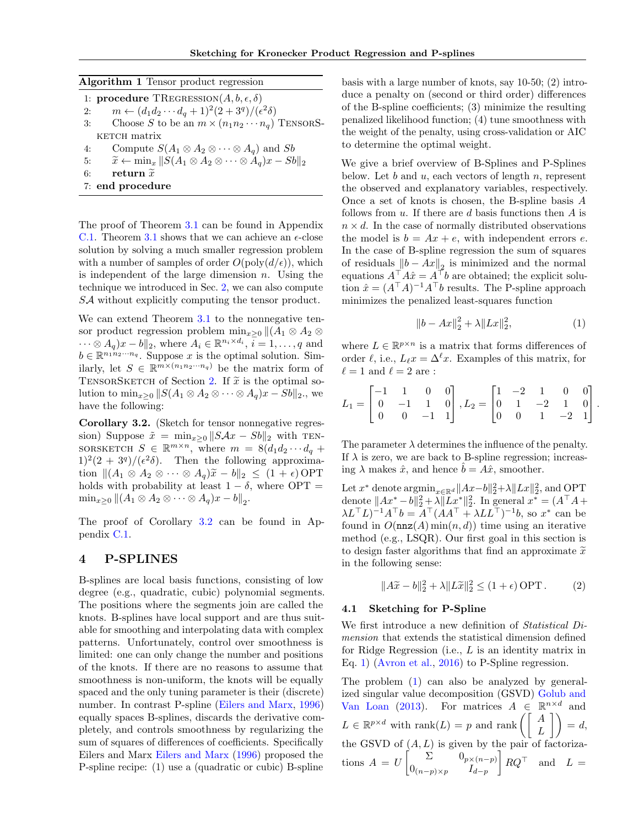<span id="page-3-0"></span>Algorithm 1 Tensor product regression

1: **procedure**  $T$ REGRESSION $(A, b, \epsilon, \delta)$ 2:  $m \leftarrow (d_1 d_2 \cdots d_q + 1)^2 (2 + 3^q) / (\epsilon^2 \delta)$ <br>3: Choose S to be an  $m \times (n_1 n_2 \cdots n_n)$ Choose *S* to be an  $m \times (n_1 n_2 \cdots n_q)$  TENSORS-KETCH matrix

- 
- 4: Compute  $S(A_1 \otimes A_2 \otimes \cdots \otimes A_q)$  and *Sb*<br>5:  $\widetilde{x} \leftarrow \min_x ||S(A_1 \otimes A_2 \otimes \cdots \otimes A_q)x Sb$ 5:  $\tilde{x} \leftarrow \min_x ||S(A_1 \otimes A_2 \otimes \cdots \otimes A_q)x - Sb||_2$ <br>6: **return**  $\tilde{x}$
- return  $\widetilde{x}$
- 7: end procedure

The proof of Theorem [3.1](#page-2-2) can be found in Appendix [C.1.](#page-0-0) Theorem [3.1](#page-2-2) shows that we can achieve an  $\epsilon$ -close solution by solving a much smaller regression problem with a number of samples of order  $O(poly(d/\epsilon))$ , which is independent of the large dimension *n*. Using the technique we introduced in Sec. [2,](#page-2-1) we can also compute *SA* without explicitly computing the tensor product.

We can extend Theorem [3.1](#page-2-2) to the nonnegative tensor product regression problem  $\min_{x>0} ||(A_1 \otimes A_2 \otimes$  $\cdots \otimes A_q)x - b\|_2$ , where  $A_i \in \mathbb{R}^{n_i \times d_i}$ ,  $\overline{i} = 1, \ldots, q$  and  $b \in \mathbb{R}^{n_1 n_2 \cdots n_q}$ . Suppose *x* is the optimal solution. Similarly, let  $S \in \mathbb{R}^{m \times (n_1 n_2 \cdots n_q)}$  be the matrix form of TENSORSKETCH of Section [2.](#page-2-1) If  $\tilde{x}$  is the optimal solution to  $\min_{x>0} ||S(A_1 \otimes A_2 \otimes \cdots \otimes A_q)x - Sb||_2$ , we have the following:

<span id="page-3-1"></span>Corollary 3.2. (Sketch for tensor nonnegative regression) Suppose  $\tilde{x} = \min_{x>0} ||S Ax - Sb||_2$  with TEN-SORSKETCH  $S \in \mathbb{R}^{m \times n}$ , where  $m = 8(d_1d_2 \cdots d_q +$  $1)^2(2 + 3^q)/(\epsilon^2\delta)$ . Then the following approximation  $||(A_1 \otimes A_2 \otimes \cdots \otimes A_q)\tilde{x} - b||_2 \leq (1 + \epsilon) \text{OPT}$ holds with probability at least  $1 - \delta$ , where OPT =  $\min_{x>0}$   $\|(A_1 \otimes A_2 \otimes \cdots \otimes A_q)x - b\|_2.$ 

The proof of Corollary [3.2](#page-3-1) can be found in Appendix [C.1.](#page-0-0)

## 4 P-SPLINES

B-splines are local basis functions, consisting of low degree (e.g., quadratic, cubic) polynomial segments. The positions where the segments join are called the knots. B-splines have local support and are thus suitable for smoothing and interpolating data with complex patterns. Unfortunately, control over smoothness is limited: one can only change the number and positions of the knots. If there are no reasons to assume that smoothness is non-uniform, the knots will be equally spaced and the only tuning parameter is their (discrete) number. In contrast P-spline [\(Eilers and Marx,](#page-8-11) [1996\)](#page-8-11) equally spaces B-splines, discards the derivative completely, and controls smoothness by regularizing the sum of squares of differences of coefficients. Specifically Eilers and Marx [Eilers and Marx](#page-8-11) [\(1996\)](#page-8-11) proposed the P-spline recipe: (1) use a (quadratic or cubic) B-spline

basis with a large number of knots, say 10-50; (2) introduce a penalty on (second or third order) differences of the B-spline coefficients;  $(3)$  minimize the resulting penalized likelihood function; (4) tune smoothness with the weight of the penalty, using cross-validation or AIC to determine the optimal weight.

We give a brief overview of B-Splines and P-Splines below. Let *b* and *u*, each vectors of length *n*, represent the observed and explanatory variables, respectively. Once a set of knots is chosen, the B-spline basis *A* follows from *u*. If there are *d* basis functions then *A* is  $n \times d$ . In the case of normally distributed observations the model is  $b = Ax + e$ , with independent errors *e*. In the case of B-spline regression the sum of squares of residuals  $||b - Ax||_2$  is minimized and the normal equations  $A^T A \hat{x} = A^T b$  are obtained; the explicit solution  $\hat{x} = (A^{\top}A)^{-1}A^{\top}b$  results. The P-spline approach minimizes the penalized least-squares function

<span id="page-3-2"></span>
$$
||b - Ax||_2^2 + \lambda ||Lx||_2^2, \tag{1}
$$

where  $L \in \mathbb{R}^{p \times n}$  is a matrix that forms differences of order  $\ell$ , i.e.,  $L_{\ell}x = \Delta^{\ell}x$ . Examples of this matrix, for  $\ell = 1$  and  $\ell = 2$  are :

$$
L_1 = \begin{bmatrix} -1 & 1 & 0 & 0 \\ 0 & -1 & 1 & 0 \\ 0 & 0 & -1 & 1 \end{bmatrix}, L_2 = \begin{bmatrix} 1 & -2 & 1 & 0 & 0 \\ 0 & 1 & -2 & 1 & 0 \\ 0 & 0 & 1 & -2 & 1 \end{bmatrix}.
$$

The parameter  $\lambda$  determines the influence of the penalty. If  $\lambda$  is zero, we are back to B-spline regression; increasing  $\lambda$  makes  $\hat{x}$ , and hence  $\hat{b} = A\hat{x}$ , smoother.

Let  $x^*$  denote  $\operatorname{argmin}_{x \in \mathbb{R}^d} \|Ax - b\|_2^2 + \lambda \|Lx\|_2^2$ , and OPT denote  $||Ax^* - b||_2^2 + \lambda ||Lx^*||_2^2$ . In general  $x^* = (A^{\top}A +$  $\lambda L^{\top}L$ <sup>-1</sup> $A^{\top}b = A^{\top}(AA^{\top} + \lambda LL^{\top})^{-1}b$ , so  $x^*$  can be found in  $O(\mathtt{nnz}(A)\min(n,d))$  time using an iterative method (e.g., LSQR). Our first goal in this section is to design faster algorithms that find an approximate  $\tilde{x}$ in the following sense:

<span id="page-3-3"></span>
$$
||A\widetilde{x} - b||_2^2 + \lambda ||L\widetilde{x}||_2^2 \le (1 + \epsilon) \text{ OPT}.
$$
 (2)

#### 4.1 Sketching for P-Spline

We first introduce a new definition of *Statistical Dimension* that extends the statistical dimension defined for Ridge Regression (i.e., *L* is an identity matrix in Eq. [1\)](#page-3-2) [\(Avron et al.,](#page-8-10) [2016\)](#page-8-10) to P-Spline regression.

The problem [\(1\)](#page-3-2) can also be analyzed by generalized singular value decomposition (GSVD) [Golub and](#page-8-5) [Van Loan](#page-8-5) [\(2013\)](#page-8-5). For matrices  $A \in \mathbb{R}^{n \times d}$  and  $L \in \mathbb{R}^{p \times d}$  with rank $(L) = p$  and rank  $\left( \begin{bmatrix} A \\ L \end{bmatrix} \right) = d$ , the GSVD of  $(A, L)$  is given by the pair of factorizations  $A = U \begin{bmatrix} \Sigma & 0_{p \times (n-p)} \\ 0 & I \end{bmatrix}$  $0_{(n-p)\times p}$  *I*<sub>d-p</sub> 1  $RQ^{\dagger}$  and  $L=$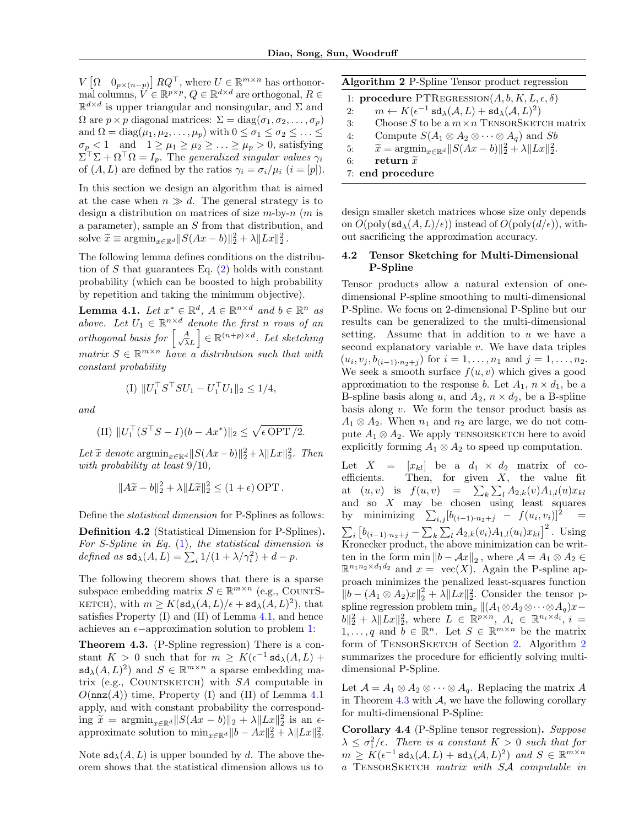$V\left[\Omega \quad 0_{p\times(n-p)}\right]RQ^{\top},$  where  $U \in \mathbb{R}^{m\times n}$  has orthonormal columns,  $V \in \mathbb{R}^{p \times p}$ ,  $Q \in \mathbb{R}^{d \times d}$  are orthogonal,  $R \in \mathbb{R}^{d \times d}$  $\mathbb{R}^{d \times d}$  is upper triangular and nonsingular, and  $\Sigma$  and  $\Omega$  are  $p \times p$  diagonal matrices:  $\Sigma = \text{diag}(\sigma_1, \sigma_2, \ldots, \sigma_p)$ and  $\Omega = \text{diag}(\mu_1, \mu_2, \dots, \mu_p)$  with  $0 \leq \sigma_1 \leq \sigma_2 \leq \dots \leq \sigma_p$  $\sigma_p < 1$  and  $1 \geq \mu_1 \geq \mu_2 \geq \ldots \geq \mu_p > 0$ , satisfying  $\Sigma^{\top} \Sigma + \Omega^{\top} \Omega = I_p$ . The *generalized singular values*  $\gamma_i$ of  $(A, L)$  are defined by the ratios  $\gamma_i = \sigma_i / \mu_i$   $(i = [p])$ .

In this section we design an algorithm that is aimed at the case when  $n \gg d$ . The general strategy is to design a distribution on matrices of size *m*-by-*n* (*m* is a parameter), sample an *S* from that distribution, and solve  $\widetilde{x} \equiv \operatorname{argmin}_{x \in \mathbb{R}^d} \|S(Ax - b)\|_2^2 + \lambda \|Lx\|_2^2$ .

The following lemma defines conditions on the distribution of *S* that guarantees Eq. [\(2\)](#page-3-3) holds with constant probability (which can be boosted to high probability by repetition and taking the minimum objective).

<span id="page-4-0"></span>**Lemma 4.1.** Let  $x^* \in \mathbb{R}^d$ ,  $A \in \mathbb{R}^{n \times d}$  and  $b \in \mathbb{R}^n$  as *above.* Let  $U_1 \in \mathbb{R}^{n \times d}$  denote the first *n* rows of an *orthogonal basis for*  $\left[\frac{A}{\sqrt{\lambda}}\right]$  $\lambda L$  $\Big] \in \mathbb{R}^{(n+p)\times d}$ *. Let sketching*  $matrix S \in \mathbb{R}^{m \times n}$  *have a distribution such that with constant probability*

(I) 
$$
||U_1^\top S^\top SU_1 - U_1^\top U_1||_2 \leq 1/4
$$
,

*and*

(II) 
$$
||U_1^\top (S^\top S - I)(b - Ax^*)||_2 \leq \sqrt{\epsilon \text{OPT}/2}.
$$

Let  $\widetilde{x}$  denote  $\operatorname{argmin}_{x \in \mathbb{R}^d} ||S(Ax - b)||_2^2 + \lambda ||Lx||_2^2$ . Then *with probability at least* 9*/*10*,*

$$
||A\widetilde{x} - b||_2^2 + \lambda ||L\widetilde{x}||_2^2 \le (1 + \epsilon) \text{ OPT}.
$$

Define the *statistical dimension* for P-Splines as follows:

Definition 4.2 (Statistical Dimension for P-Splines). *For S-Spline in Eq.* [\(1\)](#page-3-2)*, the statistical dimension is*  $defined \text{ as } sd_{\lambda}(A, L) = \sum_{i} 1/(1 + \lambda/\gamma_i^2) + d - p.$ 

The following theorem shows that there is a sparse subspace embedding matrix  $S \in \mathbb{R}^{m \times n}$  (e.g., COUNTS-KETCH), with  $m \geq K(\text{sd}_{\lambda}(A, L)/\epsilon + \text{sd}_{\lambda}(A, L)^2)$ , that satisfies Property (I) and (II) of Lemma [4.1,](#page-4-0) and hence achieves an  $\epsilon$ -approximation solution to problem [1:](#page-3-2)

<span id="page-4-2"></span>Theorem 4.3. (P-Spline regression) There is a constant  $K > 0$  such that for  $m \geq K(\epsilon^{-1} \text{sd}_{\lambda}(A, L)) +$  $sd_{\lambda}(A, L)^2$  and  $S \in \mathbb{R}^{m \times n}$  a sparse embedding matrix (e.g., COUNTSKETCH) with *SA* computable in  $O(\mathtt{nnz}(A))$  time, Property (I) and (II) of Lemma [4.1](#page-4-0) apply, and with constant probability the correspond- $\lim_{x \to \infty} \tilde{x} = \operatorname{argmin}_{x \in \mathbb{R}^d} \|S(Ax - b)\|_2 + \lambda \|Lx\|_2^2$  is an  $\epsilon$ approximate solution to  $\min_{x \in \mathbb{R}^d} ||b - Ax||_2^2 + \lambda ||Lx||_2^2$ .

Note  $sd_{\lambda}(A, L)$  is upper bounded by d. The above theorem shows that the statistical dimension allows us to

<span id="page-4-1"></span>Algorithm 2 P-Spline Tensor product regression

1: **procedure**  $\text{PTREGRESSION}(A, b, K, L, \epsilon, \delta)$ 2:  $m \leftarrow K(\epsilon^{-1} \operatorname{sd}_{\lambda}(A, L) + \operatorname{sd}_{\lambda}(A, L)^{2})$ <br>3: Choose S to be a  $m \times n$  TENSORSKET 3: Choose *S* to be a  $m \times n$  TENSORSKETCH matrix<br>4: Compute  $S(A_1 \otimes A_2 \otimes \cdots \otimes A_n)$  and *Sb* 4: Compute  $S(A_1 \otimes A_2 \otimes \cdots \otimes A_q)$  and *Sb*<br>5:  $\widetilde{x} = \operatorname{argmin}_{x \in \mathbb{R}^d} ||S(Ax - b)||_2^2 + \lambda ||Lx||_2^2$ . 5:  $\widetilde{x} = \operatorname*{argmin}_{x \in \mathbb{R}^d} \|S(Ax - b)\|_2^2 + \lambda \|Lx\|_2^2.$ 

6: return  $\widetilde{x}$ 

7: end procedure

design smaller sketch matrices whose size only depends on  $O(\text{poly}(\text{sd}_{\lambda}(A, L)/\epsilon))$  instead of  $O(\text{poly}(d/\epsilon))$ , without sacrificing the approximation accuracy.

### 4.2 Tensor Sketching for Multi-Dimensional P-Spline

Tensor products allow a natural extension of onedimensional P-spline smoothing to multi-dimensional P-Spline. We focus on 2-dimensional P-Spline but our results can be generalized to the multi-dimensional setting. Assume that in addition to *u* we have a second explanatory variable *v*. We have data triples  $(u_i, v_j, b_{(i-1)\cdot n_2 + j})$  for  $i = 1, \ldots, n_1$  and  $j = 1, \ldots, n_2$ . We seek a smooth surface  $f(u, v)$  which gives a good approximation to the response *b*. Let  $A_1$ ,  $n \times d_1$ , be a B-spline basis along *u*, and  $A_2$ ,  $n \times d_2$ , be a B-spline basis along *v*. We form the tensor product basis as  $A_1 \otimes A_2$ . When  $n_1$  and  $n_2$  are large, we do not compute  $A_1 \otimes A_2$ . We apply TENSORSKETCH here to avoid explicitly forming  $A_1 \otimes A_2$  to speed up computation.

Let  $X = [x_{kl}]$  be a  $d_1 \times d_2$  matrix of coefficients. Then, for given  $X$ , the value fit at  $(u, v)$  is  $f(u, v) = \sum_{k} \sum_{l} A_{2,k}(v) A_{1,l}(u) x_{kl}$ and so *X* may be chosen using least squares by minimizing  $\sum_{i,j} [b_{(i-1)\cdot n_2+j} - f(u_i, v_i)]^2 =$  $\sum_{i} \left[ b_{(i-1)\cdot n_2+j} - \sum_{k} \sum_{l} A_{2,k}(v_i) A_{1,l}(u_i) x_{kl} \right]^2$ . Using Kronecker product, the above minimization can be written in the form  $\min \|b - \mathcal{A}x\|_2$ , where  $\mathcal{A} = A_1 \otimes A_2$  $\mathbb{R}^{n_1 n_2 \times d_1 d_2}$  and  $x = \text{vec}(X)$ . Again the P-spline approach minimizes the penalized least-squares function  $||b - (A_1 \otimes A_2)x||_2^2 + \lambda ||Lx||_2^2$ . Consider the tensor pspline regression problem  $\min_x ||(A_1 \otimes A_2 \otimes \cdots \otimes A_q)x ||b||_2^2 + \lambda ||Lx||_2^2$ , where  $L \in \mathbb{R}^{p \times n}$ ,  $A_i \in \mathbb{R}^{n_i \times d_i}$ ,  $i =$ 1,...,q and  $b \in \mathbb{R}^n$ . Let  $S \in \mathbb{R}^{m \times n}$  be the matrix form of TENSORSKETCH of Section [2.](#page-2-1) Algorithm [2](#page-4-1) summarizes the procedure for efficiently solving multidimensional P-Spline.

Let  $\mathcal{A} = A_1 \otimes A_2 \otimes \cdots \otimes A_q$ . Replacing the matrix *A* in Theorem  $4.3$  with  $A$ , we have the following corollary for multi-dimensional P-Spline:

Corollary 4.4 (P-Spline tensor regression). *Suppose*  $\lambda \leq \sigma_1^2/\epsilon$ . There is a constant  $K > 0$  such that for  $m > K(\epsilon^{-1} \operatorname{sd}_{\lambda}(A, L) + \operatorname{sd}_{\lambda}(A, L)^2)$  *and*  $S \in \mathbb{R}^{m \times n}$ *a* TensorSketch *matrix with SA computable in*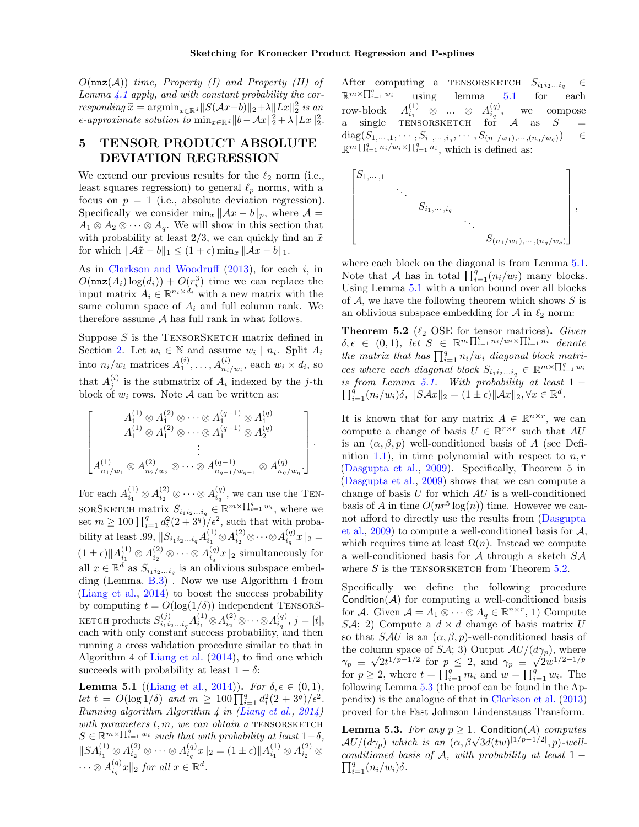*O*(nnz(*A*)) *time, Property (I) and Property (II) of Lemma [4.1](#page-4-0) apply, and with constant probability the corresponding*  $\widetilde{x} = \operatorname{argmin}_{x \in \mathbb{R}^d} ||S(\mathcal{A}x - b)||_2 + \lambda ||Lx||_2^2$  *is an*<br>*i Au*<sup>112</sup>  $\leq$  1.14  $L$ <sup>112</sup>  $\epsilon$ -approximate solution to  $\min_{x \in \mathbb{R}^d} ||b - Ax||_2^2 + \lambda ||Lx||_2^2$ .

# 5 TENSOR PRODUCT ABSOLUTE DEVIATION REGRESSION

We extend our previous results for the  $\ell_2$  norm (i.e., least squares regression) to general  $\ell_p$  norms, with a focus on  $p = 1$  (i.e., absolute deviation regression). Specifically we consider  $\min_x ||Ax - b||_p$ , where  $\mathcal{A} =$  $A_1 \otimes A_2 \otimes \cdots \otimes A_q$ . We will show in this section that with probability at least  $2/3$ , we can quickly find an  $\tilde{x}$ for which  $\|\mathcal{A}\tilde{x} - b\|_1 \leq (1 + \epsilon) \min_x \|\mathcal{A}x - b\|_1$ .

As in [Clarkson and Woodru](#page-8-18)ff  $(2013)$ , for each *i*, in  $O(\mathtt{nnz}(A_i)\log(d_i)) + O(r_i^3)$  time we can replace the input matrix  $A_i \in \mathbb{R}^{n_i \times d_i}$  with a new matrix with the same column space of  $A_i$  and full column rank. We therefore assume *A* has full rank in what follows.

Suppose  $S$  is the TENSORSKETCH matrix defined in Section [2.](#page-2-1) Let  $w_i \in \mathbb{N}$  and assume  $w_i \mid n_i$ . Split  $A_i$ into  $n_i/w_i$  matrices  $A_1^{(i)}, \ldots, A_{n_i/w_i}^{(i)}$ , each  $w_i \times d_i$ , so that  $A_j^{(i)}$  is the submatrix of  $A_i$  indexed by the *j*-th block of  $w_i$  rows. Note  $A$  can be written as:

$$
\begin{bmatrix}\nA_1^{(1)} \otimes A_1^{(2)} \otimes \cdots \otimes A_1^{(q-1)} \otimes A_1^{(q)} \\
A_1^{(1)} \otimes A_1^{(2)} \otimes \cdots \otimes A_1^{(q-1)} \otimes A_2^{(q)} \\
\vdots \\
A_{n_1/w_1}^{(1)} \otimes A_{n_2/w_2}^{(2)} \otimes \cdots \otimes A_{n_{q-1}/w_{q-1}}^{(q-1)} \otimes A_{n_q/w_q}^{(q)}.\n\end{bmatrix}.
$$

For each  $A_{i_1}^{(1)} \otimes A_{i_2}^{(2)} \otimes \cdots \otimes A_{i_q}^{(q)}$ , we can use the TEN- $SORSKEYCH$  matrix  $S_{i_1i_2...i_q} \in \mathbb{R}^{m \times \prod_{i=1}^q w_i}$ , where we set  $m \geq 100 \prod_{i=1}^{q} d_i^2 (2 + 3^q)/\epsilon^2$ , such that with proba- $\text{bility at least .99, } \|S_{i_1 i_2 \ldots i_q} A_{i_1}^{(1)} \otimes A_{i_2}^{(2)} \otimes \cdots \otimes A_{i_q}^{(q)} x\|_2 =$  $(1 \pm \epsilon) \| A_{i_1}^{(1)} \otimes A_{i_2}^{(2)} \otimes \cdots \otimes A_{i_q}^{(q)} x \|_2$  simultaneously for all  $x \in \mathbb{R}^d$  as  $S_{i_1 i_2 \ldots i_q}$  is an oblivious subspace embedding (Lemma. [B.3\)](#page-0-1) . Now we use Algorithm 4 from [\(Liang et al.,](#page-8-19) [2014\)](#page-8-19) to boost the success probability by computing  $t = O(\log(1/\delta))$  independent TENSORS- $\text{KETCH}\ \text{products}\ S^{(j)}_{i_1i_2...i_q} A^{(1)}_{i_1} \otimes A^{(2)}_{i_2} \otimes \cdots \otimes A^{(q)}_{i_q},\ j=[t],$ each with only constant success probability, and then running a cross validation procedure similar to that in Algorithm 4 of [Liang et al.](#page-8-19) [\(2014\)](#page-8-19), to find one which succeeds with probability at least  $1 - \delta$ :

<span id="page-5-0"></span>**Lemma 5.1** ([\(Liang et al.,](#page-8-19) [2014\)](#page-8-19)). *For*  $\delta, \epsilon \in (0, 1)$ *, let*  $t = O(\log 1/\delta)$  *and*  $m \geq 100 \prod_{i=1}^{q} d_i^2 (2 + 3^q)/\epsilon^2$ . *Running algorithm Algorithm 4 in [\(Liang et al.,](#page-8-19) [2014\)](#page-8-19) with parameters*  $t, m$ *, we can obtain a* TENSORSKETCH  $S \in \mathbb{R}^{m \times \prod_{i=1}^{q} w_i}$  *such that with probability at least*  $1-\delta$ ,  $||SA_{i_1}^{(1)} \otimes A_{i_2}^{(2)} \otimes \cdots \otimes A_{i_q}^{(q)}x||_2 = (1 \pm \epsilon) ||A_{i_1}^{(1)} \otimes A_{i_2}^{(2)} \otimes$  $\cdots \otimes A_{i_q}^{(q)}x\|_2$  *for all*  $x \in \mathbb{R}^d$ .

After computing a TENSORSKETCH  $S_{i_1 i_2...i_q} \in \mathbb{R}^{m \times \prod_{i=1}^q w_i}$  using lemma 5.1 for each  $\mathbb{R}^{m \times \prod_{i=1}^{q} w_i}$  using lemma [5.1](#page-5-0) for each  $\text{row-block} \quad A_{i_1}^{(1)} \quad \otimes \quad ... \quad \otimes \quad A_{i_q}^{(q)}, \quad \text{we} \quad \text{composite}$ a single TENSORSKETCH for  $A$  as  $S =$ diag $(S_{1,\dots,1},\dots, S_{i_1,\dots, i_q},\dots, S_{(n_1/w_1),\dots, (n_q/w_q)})$   $\in$  $\mathbb{R}^m \prod_{i=1}^q n_i/w_i \times \prod_{i=1}^q n_i$ , which is defined as:



where each block on the diagonal is from Lemma [5.1.](#page-5-0) Note that *A* has in total  $\prod_{i=1}^{q} (n_i/w_i)$  many blocks. Using Lemma [5.1](#page-5-0) with a union bound over all blocks of *A*, we have the following theorem which shows *S* is an oblivious subspace embedding for  $A$  in  $\ell_2$  norm:

<span id="page-5-1"></span>**Theorem 5.2**  $(\ell_2 \text{ OSE for tensor matrices})$ . *Given*  $\delta, \epsilon \in (0,1),$  let  $S \in \mathbb{R}^m \prod_{i=1}^q n_i/w_i \times \prod_{i=1}^q n_i$  denote *the matrix that has*  $\prod_{i=1}^{q} n_i/w_i$  *diagonal block matrices where each diagonal block*  $S_{i_1 i_2 \ldots i_q} \in \mathbb{R}^{m \times \prod_{i=1}^q w_i}$ *is from Lemma [5.1.](#page-5-0) With probability at least*  $1 - \prod_{i=1}^{n} (p_i - q_i) \leq \frac{1}{n} \sum_{i=1}^{n} (q_i - q_i) \leq \frac{1}{n} \sum_{i=1}^{n} (q_i - q_i) \leq \frac{1}{n} \sum_{i=1}^{n} (q_i - q_i) \leq \frac{1}{n} \sum_{i=1}^{n} (q_i - q_i) \leq \frac{1}{n} \sum_{i=1}^{n} (q_i - q_i) \leq \frac{1}{n} \sum_{i=1}$  $\prod_{i=1}^{q} (n_i/w_i)\delta$ ,  $||S\mathcal{A}x||_2 = (1 \pm \epsilon) ||\mathcal{A}x||_2, \forall x \in \mathbb{R}^d$ .

It is known that for any matrix  $A \in \mathbb{R}^{n \times r}$ , we can compute a change of basis  $U \in \mathbb{R}^{r \times r}$  such that  $AU$ is an  $(\alpha, \beta, p)$  well-conditioned basis of *A* (see Definition [1.1\)](#page-2-3), in time polynomial with respect to *n, r* [\(Dasgupta et al.,](#page-8-15) [2009\)](#page-8-15). Specifically, Theorem 5 in [\(Dasgupta et al.,](#page-8-15) [2009\)](#page-8-15) shows that we can compute a change of basis *U* for which *AU* is a well-conditioned basis of *A* in time  $O(nr^5 \log(n))$  time. However we can-not afford to directly use the results from [\(Dasgupta](#page-8-15) [et al.,](#page-8-15) [2009\)](#page-8-15) to compute a well-conditioned basis for *A*, which requires time at least  $\Omega(n)$ . Instead we compute a well-conditioned basis for *A* through a sketch *SA* where  $S$  is the TENSORSKETCH from Theorem  $5.2$ .

Specifically we define the following procedure Condition( $A$ ) for computing a well-conditioned basis for *A*. Given  $A = A_1 \otimes \cdots \otimes A_q \in \mathbb{R}^{n \times r}$ , 1) Compute *SA*; 2) Compute a  $d \times d$  change of basis matrix *U* so that *SAU* is an  $(\alpha, \beta, p)$ -well-conditioned basis of the column space of *SA*; 3) Output  $AU/(d\gamma_p)$ , where  $\gamma_p \equiv \sqrt{2t^{1/p-1/2}}$  for  $p \le 2$ , and  $\gamma_p \equiv \sqrt{2w^{1/2-1/p}}$ for  $p \geq 2$ , where  $t = \prod_{i=1}^{q} m_i$  and  $w = \prod_{i=1}^{q} w_i$ . The following Lemma [5.3](#page-5-2) (the proof can be found in the Appendix) is the analogue of that in [Clarkson et al.](#page-8-20) [\(2013\)](#page-8-20) proved for the Fast Johnson Lindenstauss Transform.

<span id="page-5-2"></span>**Lemma 5.3.** *For any*  $p \geq 1$ *.* Condition(*A*) *computes*  $AU/(d\gamma_p)$  which is an  $(\alpha, \beta\sqrt{3}d(tw)^{11/p-1/2}$ , *p*)*-wellconditioned basis of*  $\mathcal{A}$ *, with probability at least*  $1 - \prod_{i=1}^{q} (p_i/p_i)$  $\prod_{i=1}^{q} (n_i/w_i) \delta$ .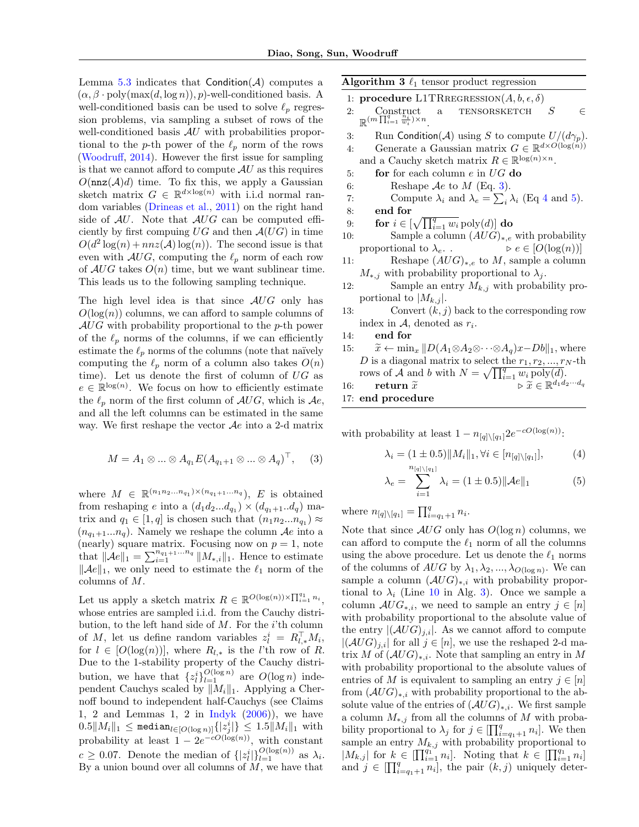Lemma  $5.3$  indicates that Condition( $\mathcal{A}$ ) computes a  $(\alpha, \beta \cdot \text{poly}(\max(d, \log n)), p)$ -well-conditioned basis. A well-conditioned basis can be used to solve  $\ell_p$  regression problems, via sampling a subset of rows of the well-conditioned basis *AU* with probabilities proportional to the *p*-th power of the  $\ell_p$  norm of the rows [\(Woodru](#page-9-0)ff,  $2014$ ). However the first issue for sampling is that we cannot afford to compute  $AU$  as this requires  $O(\mathtt{nnz}(\mathcal{A})d)$  time. To fix this, we apply a Gaussian sketch matrix  $G \in \mathbb{R}^{d \times \log(n)}$  with i.i.d normal random variables [\(Drineas et al.,](#page-8-21) [2011\)](#page-8-21) on the right hand side of  $AU$ . Note that  $AUG$  can be computed efficiently by first compuing  $UG$  and then  $A(UG)$  in time  $O(d^2 \log(n) + nnz(\mathcal{A})\log(n))$ . The second issue is that even with  $AUG$ , computing the  $\ell_p$  norm of each row of  $AUG$  takes  $O(n)$  time, but we want sublinear time. This leads us to the following sampling technique.

The high level idea is that since *AUG* only has  $O(\log(n))$  columns, we can afford to sample columns of *AUG* with probability proportional to the *p*-th power of the  $\ell_p$  norms of the columns, if we can efficiently estimate the  $\ell_p$  norms of the columns (note that naïvely computing the  $\ell_p$  norm of a column also takes  $O(n)$ time). Let us denote the first of column of *UG* as  $e \in \mathbb{R}^{\log(n)}$ . We focus on how to efficiently estimate the  $\ell_p$  norm of the first column of  $AUG$ , which is  $Ae$ , and all the left columns can be estimated in the same way. We first reshape the vector *Ae* into a 2-d matrix

$$
M = A_1 \otimes \dots \otimes A_{q_1} E(A_{q_1+1} \otimes \dots \otimes A_q)^\top, \quad (3)
$$

where  $M \in \mathbb{R}^{(n_1 n_2 \ldots n_{q_1}) \times (n_{q_1+1} \ldots n_q)}$ , *E* is obtained from reshaping *e* into a  $(d_1d_2...d_{q_1}) \times (d_{q_1+1}...d_q)$  matrix and  $q_1 \in [1, q]$  is chosen such that  $(n_1 n_2 ... n_{q_1}) \approx$  $(n_{q_1+1}...n_q)$ . Namely we reshape the column  $\mathcal{A}e$  into a (nearly) square matrix. Focusing now on  $p = 1$ , note that  $\|\mathcal{A}e\|_1 = \sum_{i=1}^{n_{q_1+1}...n_q} \|M_{*,i}\|_1$ . Hence to estimate  $\|\mathcal{A}e\|_1$ , we only need to estimate the  $\ell_1$  norm of the columns of *M*.

Let us apply a sketch matrix  $R \in \mathbb{R}^{O(\log(n)) \times \prod_{i=1}^{q_1} n_i}$ , whose entries are sampled i.i.d. from the Cauchy distribution, to the left hand side of *M*. For the *i*'th column of *M*, let us define random variables  $z_l^i = R_{l,*}^\top M_i$ , for  $l \in [O(\log(n))]$ , where  $R_{l,*}$  is the *l*'th row of *R*. Due to the 1-stability property of the Cauchy distribution, we have that  $\{z_l^i\}_{l=1}^{O(\log n)}$  are  $O(\log n)$  independent Cauchys scaled by  $||M_i||_1$ . Applying a Chernoff bound to independent half-Cauchys (see Claims 1, 2 and Lemmas 1, 2 in  $Indyk(2006)$  $Indyk(2006)$ , we have  $0.5\|M_i\|_1 \leq \texttt{median}_{l\in [O(\log n)]}\{|z_j^i|\} \leq 1.5\|M_i\|_1$  with probability at least  $1 - 2e^{-cO(\log(n))}$ , with constant  $c \geq 0.07$ . Denote the median of  $\{|z_i^i|\}_{i=1}^{O(\log(n))}$  as  $\lambda_i$ . By a union bound over all columns of *M*, we have that

<span id="page-6-3"></span>Algorithm 3  $\ell_1$  tensor product regression

1: **procedure** L1TRREGRESSION $(A, b, \epsilon, \delta)$ 

- 2: Construct a TENSORSKETCH  $S \in$  $\mathbb{R}^{(m\prod_{i=1}^{q}\frac{n_i}{w_i})\times n}$ .
- 3: Run Condition(*A*) using *S* to compute  $U/(d\gamma_p)$ .<br>4: Generate a Gaussian matrix  $G \in \mathbb{R}^{d \times O(\log(n))}$
- Generate a Gaussian matrix  $G \in \mathbb{R}^{d \times O(\log(n))}$ and a Cauchy sketch matrix  $R \in \mathbb{R}^{\log(n) \times n}$ .
- 5: for for each column *e* in *UG* do
- 6: Reshape *Ae* to *M* (Eq. [3\)](#page-6-0).<br>7: Compute  $\lambda_i$  and  $\lambda_e = \sum_i$ .
- 7: Compute  $\lambda_i$  and  $\lambda_e = \sum_i \lambda_i$  (Eq [4](#page-6-1) and [5\)](#page-6-2).
- 8: end for

9: for 
$$
i \in [\sqrt{\prod_{i=1}^{q} w_i} \text{poly}(d)]
$$
 do

- 10: Sample a column  $(AUG)_{*,e}$  with probability proportional to  $\lambda_e$ .  $\qquad \qquad \triangleright e \in [O(\log(n))]$
- 11: Reshape  $(AUG)_{*,e}$  to *M*, sample a column  $M_{*,j}$  with probability proportional to  $\lambda_j$ .
- 12: Sample an entry *Mk,j* with probability proportional to  $|M_{k,j}|$ .
- 13: Convert (*k, j*) back to the corresponding row index in  $A$ , denoted as  $r_i$ .
- 14: end for
- 15:  $\tilde{x} \leftarrow \min_x \|D(A_1 \otimes A_2 \otimes \cdots \otimes A_q)x Db\|_1$ , where *D* is a diagonal matrix to select the  $r_1, r_2, ..., r_N$ -th rows of *A* and *b* with  $N = \sqrt{\prod_{i=1}^{q} w_i \operatorname{poly}(d)}$ .
- 16: **return**  $\widetilde{x}$  .  $\triangleright \widetilde{x} \in \mathbb{R}^{d_1 d_2 \cdots d_q}$ 17: end procedure

<span id="page-6-0"></span>with probability at least  $1 - n_{[q] \setminus [q_1]} 2e^{-cO(\log(n))}$ :

<span id="page-6-1"></span>
$$
\lambda_i = (1 \pm 0.5) \|M_i\|_1, \forall i \in [n_{[q] \setminus [q_1]}], \tag{4}
$$

<span id="page-6-2"></span>
$$
\lambda_e = \sum_{i=1}^{n_{[q] \setminus [q_1]}} \lambda_i = (1 \pm 0.5) ||\mathcal{A}e||_1 \tag{5}
$$

where  $n_{[q] \setminus [q_1]} = \prod_{i=q_1+1}^{q} n_i$ .

Note that since  $AUG$  only has  $O(\log n)$  columns, we can afford to compute the  $\ell_1$  norm of all the columns using the above procedure. Let us denote the  $\ell_1$  norms of the columns of  $AUG$  by  $\lambda_1, \lambda_2, ..., \lambda_{O(\log n)}$ . We can sample a column  $(\mathcal{A}UG)_{*,i}$  with probability proportional to  $\lambda_i$  (Line [10](#page-6-3) in Alg. [3\)](#page-6-3). Once we sample a column  $AUG_{*,i}$ , we need to sample an entry  $j \in [n]$ with probability proportional to the absolute value of the entry  $|(\mathcal{A}UG)_{i,i}|$ . As we cannot afford to compute  $|(\mathcal{A}UG)_{j,i}|$  for all  $j \in [n]$ , we use the reshaped 2-d matrix *M* of  $(\mathcal{A}UG)_{*,i}$ . Note that sampling an entry in *M* with probability proportional to the absolute values of entries of *M* is equivalent to sampling an entry  $j \in [n]$ from  $(\mathcal{A}UG)_{*,i}$  with probability proportional to the absolute value of the entries of  $(\mathcal{A}UG)_{*,i}$ . We first sample a column  $M_{*,j}$  from all the columns of  $M$  with probability proportional to  $\lambda_j$  for  $j \in \prod_{i=q_1+1}^q n_i$ . We then sample an entry  $M_{k,j}$  with probability proportional to  $|M_{k,j}|$  for  $k \in \prod_{i=1}^{q_1} n_i$ . Noting that  $k \in \prod_{i=1}^{q_1} n_i$ and  $j \in \prod_{i=q_1+1}^{q} n_i$ , the pair  $(k, j)$  uniquely deter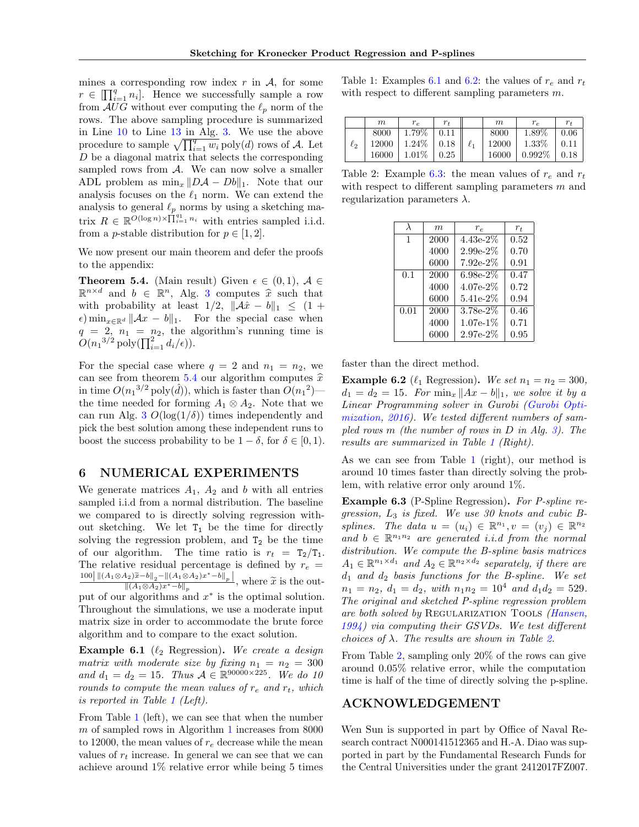mines a corresponding row index  $r$  in  $\mathcal{A}$ , for some  $r \in \left[ \prod_{i=1}^{q} n_i \right]$ . Hence we successfully sample a row from  $AUG$  without ever computing the  $\ell_p$  norm of the rows. The above sampling procedure is summarized in Line [10](#page-6-3) to Line [13](#page-6-3) in Alg. [3.](#page-6-3) We use the above procedure to sample  $\sqrt{\prod_{i=1}^q w_i}$  poly $(d)$  rows of *A*. Let *D* be a diagonal matrix that selects the corresponding sampled rows from *A*. We can now solve a smaller ADL problem as  $\min_x \|D\mathcal{A} - Db\|_1$ . Note that our analysis focuses on the  $\ell_1$  norm. We can extend the analysis to general  $\ell_p$  norms by using a sketching matrix  $R \in \mathbb{R}^{O(\log n) \times \prod_{i=1}^{q_1} n_i}$  with entries sampled i.i.d. from a *p*-stable distribution for  $p \in [1, 2]$ .

We now present our main theorem and defer the proofs to the appendix:

<span id="page-7-0"></span>**Theorem 5.4.** (Main result) Given  $\epsilon \in (0,1)$ ,  $\mathcal{A} \in$  $\mathbb{R}^{n \times d}$  and  $b \in \mathbb{R}^n$ , Alg. [3](#page-6-3) computes  $\hat{x}$  such that with probability at least  $1/2$ ,  $\|\mathcal{A}\hat{x} - b\|_1 \leq (1 +$  $\epsilon$ ) min<sub>*x*∈ℝ<sup>*d*</sup>  $||Ax - b||_1$ . For the special case when</sub>  $q = 2, n_1 = n_2$ , the algorithm's running time is  $O(n_1^{3/2} \text{poly}(\prod_{i=1}^2 d_i/\epsilon)).$ 

For the special case where  $q = 2$  and  $n_1 = n_2$ , we can see from theorem [5.4](#page-7-0) our algorithm computes  $\hat{x}$ in time  $O(n_1^{3/2} \text{poly}(\hat{d}))$ , which is faster than  $O(n_1^2)$  the time needed for forming  $A_1 \otimes A_2$ . Note that we can run Alg. [3](#page-6-3)  $O(\log(1/\delta))$  times independently and pick the best solution among these independent runs to boost the success probability to be  $1 - \delta$ , for  $\delta \in [0, 1)$ .

## 6 NUMERICAL EXPERIMENTS

We generate matrices  $A_1$ ,  $A_2$  and *b* with all entries sampled i.i.d from a normal distribution. The baseline we compared to is directly solving regression without sketching. We let  $T_1$  be the time for directly solving the regression problem, and  $T_2$  be the time of our algorithm. The time ratio is  $r_t = T_2/T_1$ . The relative residual percentage is defined by  $r_e$  =  $\frac{100}{\|(A_1 \otimes A_2)\tilde{x} - b\|_2 - \|(A_1 \otimes A_2)x^* - b\|_p}{\|(A_1 \otimes A_2)x^* - b\|_p},$  where  $\tilde{x}$  is the out- $\frac{\|(A_1 \otimes A_2)x^* - b\|_p}{\|A_1 \otimes A_2\|_p}$ put of our algorithms and  $x^*$  is the optimal solution. Throughout the simulations, we use a moderate input matrix size in order to accommodate the brute force algorithm and to compare to the exact solution.

<span id="page-7-2"></span>**Example 6.1** ( $\ell_2$  Regression). We create a design *matrix with moderate size by fixing*  $n_1 = n_2 = 300$ *and*  $d_1 = d_2 = 15$ *. Thus*  $A \in \mathbb{R}^{90000 \times 225}$ *. We do 10 rounds to compute the mean values of*  $r_e$  *and*  $r_t$ *, which is reported in Table [1](#page-7-1) (Left).*

From Table [1](#page-7-1) (left), we can see that when the number *m* of sampled rows in Algorithm [1](#page-3-0) increases from 8000 to 12000, the mean values of  $r_e$  decrease while the mean values of  $r_t$  increase. In general we can see that we can achieve around 1% relative error while being 5 times

<span id="page-7-1"></span>Table 1: Examples [6.1](#page-7-2) and [6.2:](#page-7-3) the values of  $r_e$  and  $r_t$ with respect to different sampling parameters m.

|          | m     | $r_e$           | $r_t$ | m     |           | $r_{t}$ |
|----------|-------|-----------------|-------|-------|-----------|---------|
|          | 8000  | 1.79%           | 0.11  | 8000  | 1.89%     | 0.06    |
| $\ell_2$ | 12000 | $1.24\%$   0.18 |       | 12000 | 1.33%     | 0.11    |
|          | 16000 | $1.01\%$        | 0.25  | 16000 | $0.992\%$ | 0.18    |

<span id="page-7-5"></span>Table 2: Example  $6.3$ : the mean values of  $r_e$  and  $r_t$ with respect to different sampling parameters m and regularization parameters  $\lambda$ .

| $\lambda$    | m    | $r_e$       | $r_{t}$ |
|--------------|------|-------------|---------|
| $\mathbf{1}$ | 2000 | $4.43e-2%$  | 0.52    |
|              | 4000 | $2.99e-2%$  | 0.70    |
|              | 6000 | $7.92e-2\%$ | 0.91    |
| 0.1          | 2000 | $6.98e-2%$  | 0.47    |
|              | 4000 | $4.07e-2%$  | 0.72    |
|              | 6000 | $5.41e-2%$  | 0.94    |
| 0.01         | 2000 | $3.78e-2%$  | 0.46    |
|              | 4000 | $1.07e-1%$  | 0.71    |
|              | 6000 | $2.97e-2%$  | 0.95    |

faster than the direct method.

<span id="page-7-3"></span>**Example 6.2** ( $\ell_1$  Regression). *We set*  $n_1 = n_2 = 300$ ,  $d_1 = d_2 = 15$ *. For*  $\min_x \|Ax - b\|_1$ *, we solve it by a Linear Programming solver in Gurobi [\(Gurobi Opti](#page-8-23)[mization,](#page-8-23) 2016*). We tested different numbers of sam*pled rows m (the number of rows in D in Alg. [3\)](#page-6-3). The results are summarized in Table [1](#page-7-1) (Right).*

As we can see from Table [1](#page-7-1) (right), our method is around 10 times faster than directly solving the problem, with relative error only around 1%.

<span id="page-7-4"></span>Example 6.3 (P-Spline Regression). *For P-spline regression, L*<sup>3</sup> *is fixed. We use 30 knots and cubic Bsplines.* The data  $u = (u_i) \in \mathbb{R}^{n_1}, v = (v_i) \in \mathbb{R}^{n_2}$ and  $b \in \mathbb{R}^{n_1 n_2}$  *are generated i.i.d from the normal distribution. We compute the B-spline basis matrices*  $A_1 \in \mathbb{R}^{n_1 \times d_1}$  *and*  $A_2 \in \mathbb{R}^{n_2 \times d_2}$  *separately, if there are d*<sup>1</sup> *and d*<sup>2</sup> *basis functions for the B-spline. We set*  $n_1 = n_2, d_1 = d_2, with n_1 n_2 = 10^4 and d_1 d_2 = 529.$ *The original and sketched P-spline regression problem are both solved by* Regularization Tools *[\(Hansen,](#page-8-24) 1994*) *via computing their GSVDs.* We test different *choices of*  $\lambda$ . The results are shown in Table [2.](#page-7-5)

From Table [2,](#page-7-5) sampling only 20% of the rows can give around 0*.*05% relative error, while the computation time is half of the time of directly solving the p-spline.

## ACKNOWLEDGEMENT

Wen Sun is supported in part by Office of Naval Research contract N000141512365 and H.-A. Diao was supported in part by the Fundamental Research Funds for the Central Universities under the grant 2412017FZ007.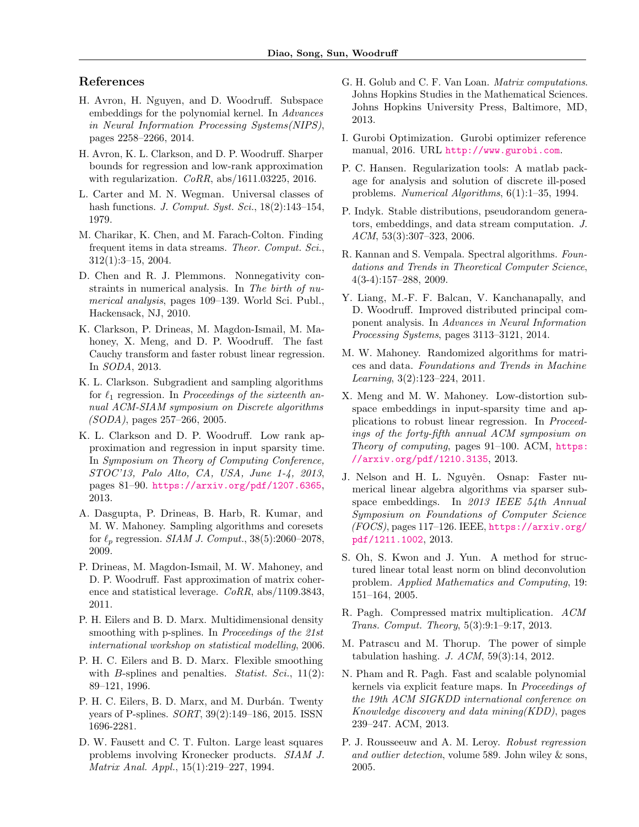## References

- <span id="page-8-2"></span>H. Avron, H. Nguyen, and D. Woodruff. Subspace embeddings for the polynomial kernel. In *Advances in Neural Information Processing Systems(NIPS)*, pages 2258–2266, 2014.
- <span id="page-8-10"></span>H. Avron, K. L. Clarkson, and D. P. Woodruff. Sharper bounds for regression and low-rank approximation with regularization. *CoRR*, abs/1611.03225, 2016.
- L. Carter and M. N. Wegman. Universal classes of hash functions. *J. Comput. Syst. Sci.*, 18(2):143–154, 1979.
- <span id="page-8-17"></span>M. Charikar, K. Chen, and M. Farach-Colton. Finding frequent items in data streams. *Theor. Comput. Sci.*, 312(1):3–15, 2004.
- <span id="page-8-9"></span>D. Chen and R. J. Plemmons. Nonnegativity constraints in numerical analysis. In *The birth of numerical analysis*, pages 109–139. World Sci. Publ., Hackensack, NJ, 2010.
- <span id="page-8-20"></span>K. Clarkson, P. Drineas, M. Magdon-Ismail, M. Mahoney, X. Meng, and D. P. Woodruff. The fast Cauchy transform and faster robust linear regression. In *SODA*, 2013.
- <span id="page-8-14"></span>K. L. Clarkson. Subgradient and sampling algorithms for  $\ell_1$  regression. In *Proceedings of the sixteenth annual ACM-SIAM symposium on Discrete algorithms (SODA)*, pages 257–266, 2005.
- <span id="page-8-18"></span>K. L. Clarkson and D. P. Woodruff. Low rank approximation and regression in input sparsity time. In *Symposium on Theory of Computing Conference, STOC'13, Palo Alto, CA, USA, June 1-4, 2013*, pages 81–90. <https://arxiv.org/pdf/1207.6365>, 2013.
- <span id="page-8-15"></span>A. Dasgupta, P. Drineas, B. Harb, R. Kumar, and M. W. Mahoney. Sampling algorithms and coresets for  $\ell_p$  regression. *SIAM J. Comput.*, 38(5):2060–2078, 2009.
- <span id="page-8-21"></span>P. Drineas, M. Magdon-Ismail, M. W. Mahoney, and D. P. Woodruff. Fast approximation of matrix coherence and statistical leverage. *CoRR*, abs/1109.3843, 2011.
- <span id="page-8-7"></span>P. H. Eilers and B. D. Marx. Multidimensional density smoothing with p-splines. In *Proceedings of the 21st international workshop on statistical modelling*, 2006.
- <span id="page-8-11"></span>P. H. C. Eilers and B. D. Marx. Flexible smoothing with *B*-splines and penalties. *Statist. Sci.*, 11(2): 89–121, 1996.
- <span id="page-8-12"></span>P. H. C. Eilers, B. D. Marx, and M. Durbán. Twenty years of P-splines. *SORT*, 39(2):149–186, 2015. ISSN 1696-2281.
- <span id="page-8-8"></span>D. W. Fausett and C. T. Fulton. Large least squares problems involving Kronecker products. *SIAM J. Matrix Anal. Appl.*, 15(1):219–227, 1994.
- <span id="page-8-5"></span>G. H. Golub and C. F. Van Loan. *Matrix computations*. Johns Hopkins Studies in the Mathematical Sciences. Johns Hopkins University Press, Baltimore, MD, 2013.
- <span id="page-8-23"></span>I. Gurobi Optimization. Gurobi optimizer reference manual, 2016. URL <http://www.gurobi.com>.
- <span id="page-8-24"></span>P. C. Hansen. Regularization tools: A matlab package for analysis and solution of discrete ill-posed problems. *Numerical Algorithms*, 6(1):1–35, 1994.
- <span id="page-8-22"></span>P. Indyk. Stable distributions, pseudorandom generators, embeddings, and data stream computation. *J. ACM*, 53(3):307–323, 2006.
- <span id="page-8-3"></span>R. Kannan and S. Vempala. Spectral algorithms. *Foundations and Trends in Theoretical Computer Science*, 4(3-4):157–288, 2009.
- <span id="page-8-19"></span>Y. Liang, M.-F. F. Balcan, V. Kanchanapally, and D. Woodruff. Improved distributed principal component analysis. In *Advances in Neural Information Processing Systems*, pages 3113–3121, 2014.
- <span id="page-8-4"></span>M. W. Mahoney. Randomized algorithms for matrices and data. *Foundations and Trends in Machine Learning*, 3(2):123–224, 2011.
- <span id="page-8-16"></span>X. Meng and M. W. Mahoney. Low-distortion subspace embeddings in input-sparsity time and applications to robust linear regression. In *Proceedings of the forty-fifth annual ACM symposium on Theory of computing*, pages 91–100. ACM, [https:](https://arxiv.org/pdf/1210.3135) [//arxiv.org/pdf/1210.3135](https://arxiv.org/pdf/1210.3135), 2013.
- J. Nelson and H. L. Nguyên. Osnap: Faster numerical linear algebra algorithms via sparser subspace embeddings. In *2013 IEEE 54th Annual Symposium on Foundations of Computer Science (FOCS)*, pages 117–126. IEEE, [https://arxiv.org/](https://arxiv.org/pdf/1211.1002) [pdf/1211.1002](https://arxiv.org/pdf/1211.1002), 2013.
- <span id="page-8-6"></span>S. Oh, S. Kwon and J. Yun. A method for structured linear total least norm on blind deconvolution problem. *Applied Mathematics and Computing*, 19: 151–164, 2005.
- <span id="page-8-0"></span>R. Pagh. Compressed matrix multiplication. *ACM Trans. Comput. Theory*, 5(3):9:1–9:17, 2013.
- M. Patrascu and M. Thorup. The power of simple tabulation hashing. *J. ACM*, 59(3):14, 2012.
- <span id="page-8-1"></span>N. Pham and R. Pagh. Fast and scalable polynomial kernels via explicit feature maps. In *Proceedings of the 19th ACM SIGKDD international conference on Knowledge discovery and data mining(KDD)*, pages 239–247. ACM, 2013.
- <span id="page-8-13"></span>P. J. Rousseeuw and A. M. Leroy. *Robust regression and outlier detection*, volume 589. John wiley & sons, 2005.